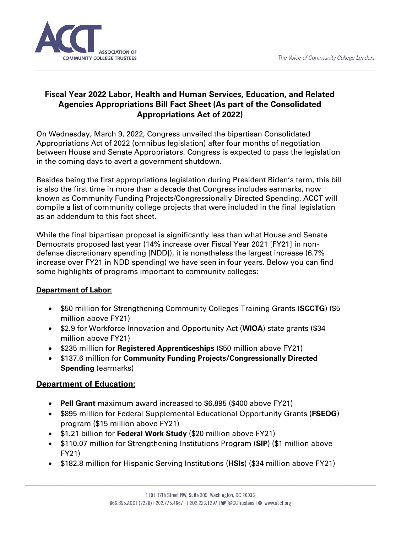

## **Fiscal Year 2022 Labor, Health and Human Services, Education, and Related Agencies Appropriations Bill Fact Sheet (As part of the Consolidated Appropriations Act of 2022)**

On Wednesday, March 9, 2022, Congress unveiled the bipartisan Consolidated Appropriations Act of 2022 (omnibus legislation) after four months of negotiation between House and Senate Appropriators. Congress is expected to pass the legislation in the coming days to avert a government shutdown.

Besides being the first appropriations legislation during President Biden's term, this bill is also the first time in more than a decade that Congress includes earmarks, now known as Community Funding Projects/Congressionally Directed Spending. ACCT will compile a list of community college projects that were included in the final legislation as an addendum to this fact sheet.

While the final bipartisan proposal is significantly less than what House and Senate Democrats proposed last year (14% increase over Fiscal Year 2021 [FY21] in nondefense discretionary spending [NDD]), it is nonetheless the largest increase (6.7% increase over FY21 in NDD spending) we have seen in four years. Below you can find some highlights of programs important to community colleges:

## **Department of Labor:**

- \$50 million for Strengthening Community Colleges Training Grants (**SCCTG**) (\$5 million above FY21)
- \$2.9 for Workforce Innovation and Opportunity Act (**WIOA**) state grants (\$34 million above FY21)
- \$235 million for **Registered Apprenticeships** (\$50 million above FY21)
- \$137.6 million for **Community Funding Projects/Congressionally Directed Spending** (earmarks)

## **Department of Education:**

- **Pell Grant** maximum award increased to \$6,895 (\$400 above FY21)
- \$895 million for Federal Supplemental Educational Opportunity Grants (**FSEOG**) program (\$15 million above FY21)
- \$1.21 billion for **Federal Work Study** (\$20 million above FY21)
- \$110.07 million for Strengthening Institutions Program (**SIP**) (\$1 million above FY21)
- \$182.8 million for Hispanic Serving Institutions (**HSIs**) (\$34 million above FY21)